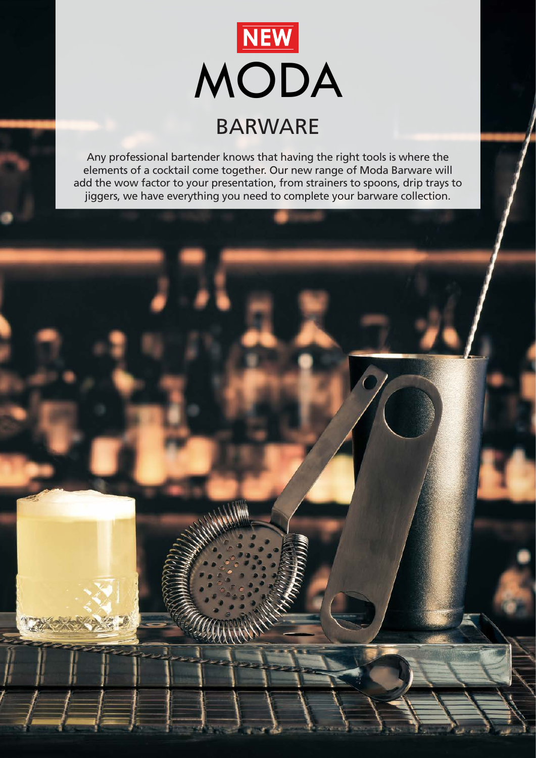

Any professional bartender knows that having the right tools is where the elements of a cocktail come together. Our new range of Moda Barware will add the wow factor to your presentation, from strainers to spoons, drip trays to jiggers, we have everything you need to complete your barware collection.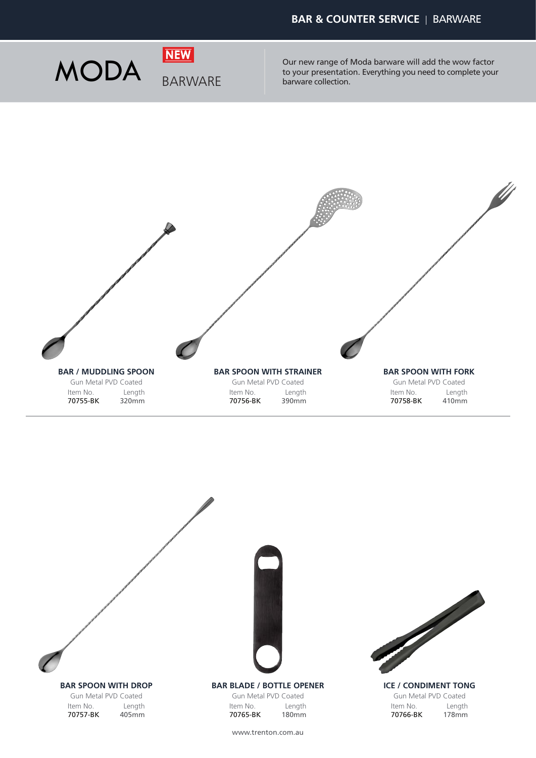

Our new range of Moda barware will add the wow factor **NODA** BARWARE DIRECTION DEVIDENT Our new range of Moda barware will add the wow factor<br>barware collection. Everything you need to complete your barware collection.





www.trenton.com.au